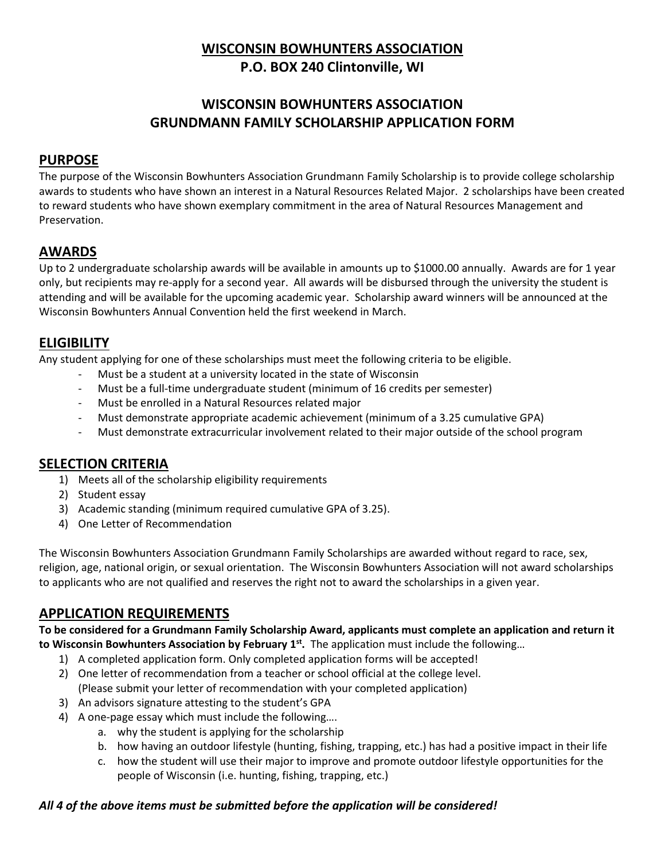## **WISCONSIN BOWHUNTERS ASSOCIATION P.O. BOX 240 Clintonville, WI**

# **WISCONSIN BOWHUNTERS ASSOCIATION GRUNDMANN FAMILY SCHOLARSHIP APPLICATION FORM**

#### **PURPOSE**

The purpose of the Wisconsin Bowhunters Association Grundmann Family Scholarship is to provide college scholarship awards to students who have shown an interest in a Natural Resources Related Major. 2 scholarships have been created to reward students who have shown exemplary commitment in the area of Natural Resources Management and Preservation.

#### **AWARDS**

Up to 2 undergraduate scholarship awards will be available in amounts up to \$1000.00 annually. Awards are for 1 year only, but recipients may re-apply for a second year. All awards will be disbursed through the university the student is attending and will be available for the upcoming academic year. Scholarship award winners will be announced at the Wisconsin Bowhunters Annual Convention held the first weekend in March.

## **ELIGIBILITY**

Any student applying for one of these scholarships must meet the following criteria to be eligible.

- Must be a student at a university located in the state of Wisconsin
- Must be a full-time undergraduate student (minimum of 16 credits per semester)
- Must be enrolled in a Natural Resources related major
- Must demonstrate appropriate academic achievement (minimum of a 3.25 cumulative GPA)
- Must demonstrate extracurricular involvement related to their major outside of the school program

#### **SELECTION CRITERIA**

- 1) Meets all of the scholarship eligibility requirements
- 2) Student essay
- 3) Academic standing (minimum required cumulative GPA of 3.25).
- 4) One Letter of Recommendation

The Wisconsin Bowhunters Association Grundmann Family Scholarships are awarded without regard to race, sex, religion, age, national origin, or sexual orientation. The Wisconsin Bowhunters Association will not award scholarships to applicants who are not qualified and reserves the right not to award the scholarships in a given year.

## **APPLICATION REQUIREMENTS**

**To be considered for a Grundmann Family Scholarship Award, applicants must complete an application and return it to Wisconsin Bowhunters Association by February 1st .** The application must include the following…

- 1) A completed application form. Only completed application forms will be accepted!
- 2) One letter of recommendation from a teacher or school official at the college level. (Please submit your letter of recommendation with your completed application)
- 3) An advisors signature attesting to the student's GPA
- 4) A one-page essay which must include the following….
	- a. why the student is applying for the scholarship
		- b. how having an outdoor lifestyle (hunting, fishing, trapping, etc.) has had a positive impact in their life
		- c. how the student will use their major to improve and promote outdoor lifestyle opportunities for the people of Wisconsin (i.e. hunting, fishing, trapping, etc.)

#### *All 4 of the above items must be submitted before the application will be considered!*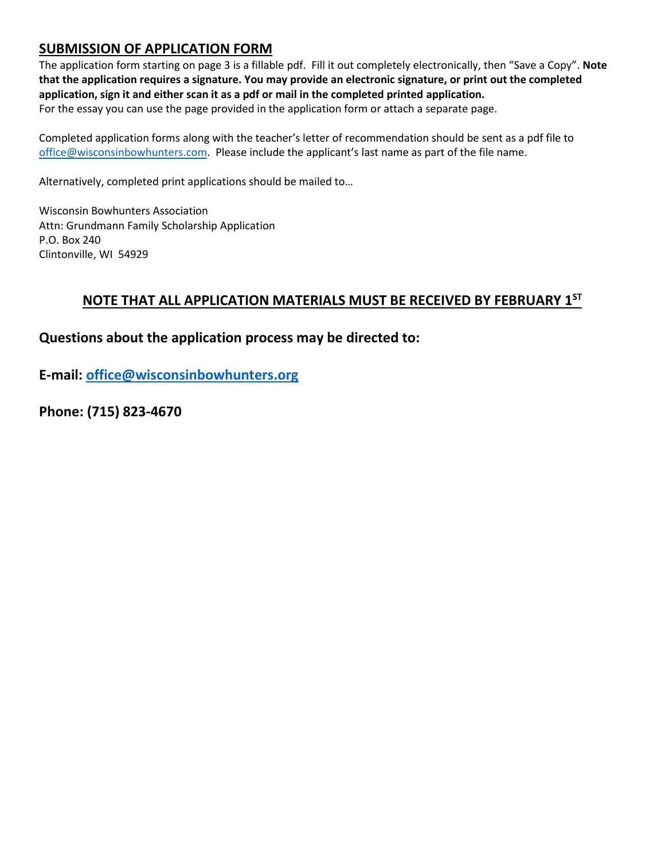## **SUBMISSION OF APPLICATION FORM**

The application form starting on page 3 is a fillable pdf. Fill it out completely electronically, then "Save a Copy". **Note that the application requires a signature. You may provide an electronic signature, or print out the completed application, sign it and either scan it as a pdf or mail in the completed printed application.**  For the essay you can use the page provided in the application form or attach a separate page.

Completed application forms along with the teacher's letter of recommendation should be sent as a pdf file to office@wisconsinbowhunters.com. Please include the applicant's last name as part of the file name.

Alternatively, completed print applications should be mailed to…

Wisconsin Bowhunters Association Attn: Grundmann Family Scholarship Application P.O. Box 240 Clintonville, WI 54929

## **NOTE THAT ALL APPLICATION MATERIALS MUST BE RECEIVED BY FEBRUARY 1ST**

**Questions about the application process may be directed to:**

**E-mail: office@wisconsinbowhunters.org**

**Phone: (715) 823-4670**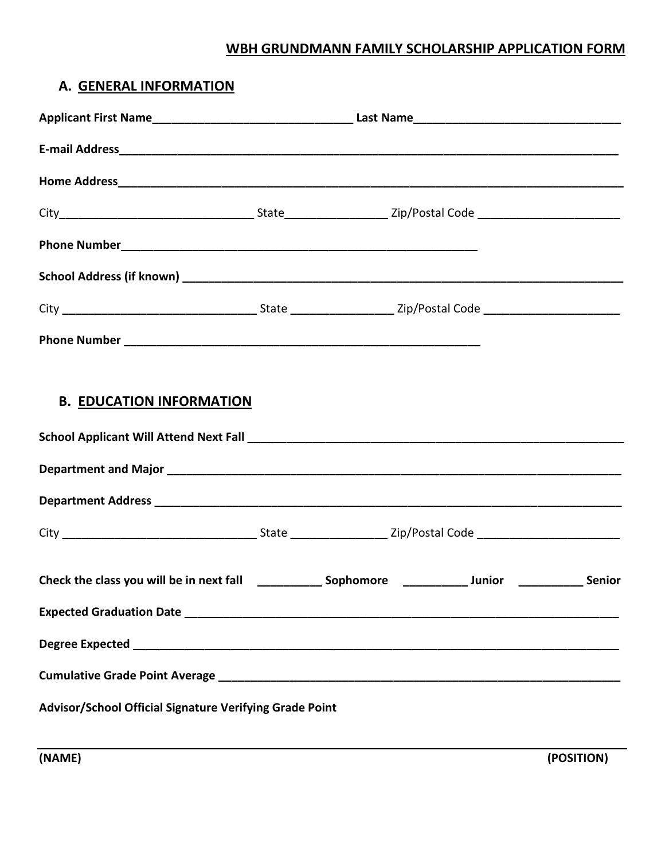## **WBH GRUNDMANN FAMILY SCHOLARSHIP APPLICATION FORM**

## **A. GENERAL INFORMATION**

| <b>B. EDUCATION INFORMATION</b>                                                                                |  |  |  |
|----------------------------------------------------------------------------------------------------------------|--|--|--|
|                                                                                                                |  |  |  |
| Check the class you will be in next fall ______________ Sophomore ______________ Junior _______________ Senior |  |  |  |
|                                                                                                                |  |  |  |
|                                                                                                                |  |  |  |
|                                                                                                                |  |  |  |
| Advisor/School Official Signature Verifying Grade Point                                                        |  |  |  |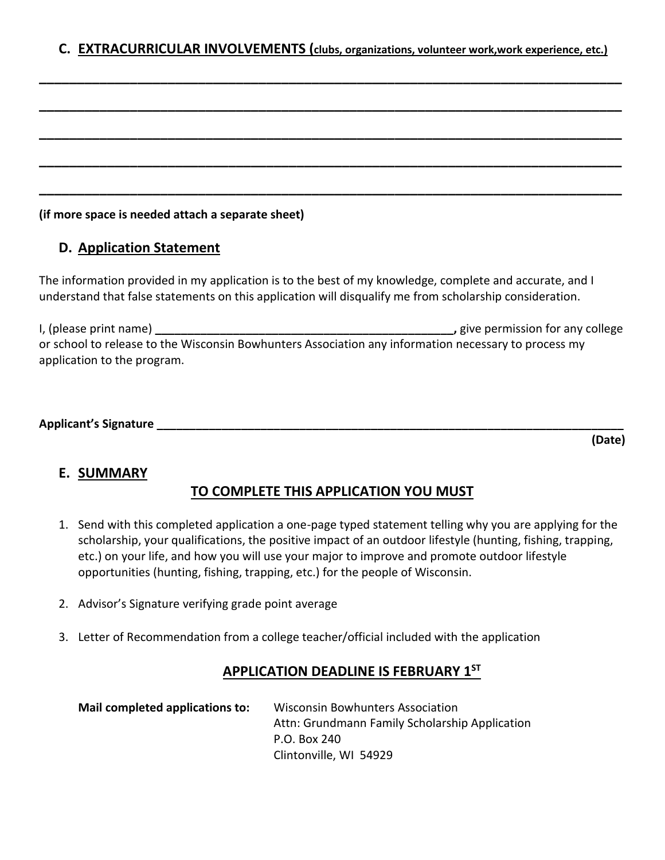|  |  |  | C. EXTRACURRICULAR INVOLVEMENTS (clubs, organizations, volunteer work, work experience, etc.) |  |
|--|--|--|-----------------------------------------------------------------------------------------------|--|
|--|--|--|-----------------------------------------------------------------------------------------------|--|

**\_\_\_\_\_\_\_\_\_\_\_\_\_\_\_\_\_\_\_\_\_\_\_\_\_\_\_\_\_\_\_\_\_\_\_\_\_\_\_\_\_\_\_\_\_\_\_\_\_\_\_\_\_\_\_\_\_\_\_\_\_\_\_\_\_\_\_\_\_\_\_\_\_\_\_\_\_**

**\_\_\_\_\_\_\_\_\_\_\_\_\_\_\_\_\_\_\_\_\_\_\_\_\_\_\_\_\_\_\_\_\_\_\_\_\_\_\_\_\_\_\_\_\_\_\_\_\_\_\_\_\_\_\_\_\_\_\_\_\_\_\_\_\_\_\_\_\_\_\_\_\_\_\_\_\_**

**\_\_\_\_\_\_\_\_\_\_\_\_\_\_\_\_\_\_\_\_\_\_\_\_\_\_\_\_\_\_\_\_\_\_\_\_\_\_\_\_\_\_\_\_\_\_\_\_\_\_\_\_\_\_\_\_\_\_\_\_\_\_\_\_\_\_\_\_\_\_\_\_\_\_\_\_\_**

**\_\_\_\_\_\_\_\_\_\_\_\_\_\_\_\_\_\_\_\_\_\_\_\_\_\_\_\_\_\_\_\_\_\_\_\_\_\_\_\_\_\_\_\_\_\_\_\_\_\_\_\_\_\_\_\_\_\_\_\_\_\_\_\_\_\_\_\_\_\_\_\_\_\_\_\_\_**

**\_\_\_\_\_\_\_\_\_\_\_\_\_\_\_\_\_\_\_\_\_\_\_\_\_\_\_\_\_\_\_\_\_\_\_\_\_\_\_\_\_\_\_\_\_\_\_\_\_\_\_\_\_\_\_\_\_\_\_\_\_\_\_\_\_\_\_\_\_\_\_\_\_\_\_\_\_**

#### **(if more space is needed attach a separate sheet)**

## **D. Application Statement**

The information provided in my application is to the best of my knowledge, complete and accurate, and I understand that false statements on this application will disqualify me from scholarship consideration.

I, (please print name) *Dependence in the state of the state of the state is any college*  $\blacksquare$ , give permission for any college or school to release to the Wisconsin Bowhunters Association any information necessary to process my application to the program.

| <b>Applicant's Signature</b> |
|------------------------------|
|------------------------------|

**(Date)**

#### **E. SUMMARY**

## **TO COMPLETE THIS APPLICATION YOU MUST**

- 1. Send with this completed application a one-page typed statement telling why you are applying for the scholarship, your qualifications, the positive impact of an outdoor lifestyle (hunting, fishing, trapping, etc.) on your life, and how you will use your major to improve and promote outdoor lifestyle opportunities (hunting, fishing, trapping, etc.) for the people of Wisconsin.
- 2. Advisor's Signature verifying grade point average
- 3. Letter of Recommendation from a college teacher/official included with the application

#### **APPLICATION DEADLINE IS FEBRUARY 1ST**

| Mail completed applications to: | <b>Wisconsin Bowhunters Association</b>        |  |
|---------------------------------|------------------------------------------------|--|
|                                 | Attn: Grundmann Family Scholarship Application |  |
|                                 | P.O. Box 240                                   |  |
|                                 | Clintonville, WI 54929                         |  |